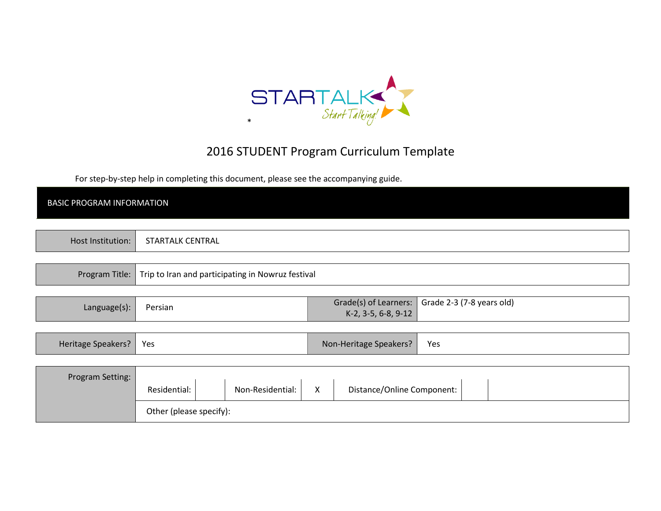

# 2016 STUDENT Program Curriculum Template

For step-by-step help in completing this document, please see the accompanying guide.

| <b>BASIC PROGRAM INFORMATION</b> |                                                   |                                                         |                           |
|----------------------------------|---------------------------------------------------|---------------------------------------------------------|---------------------------|
|                                  |                                                   |                                                         |                           |
| Host Institution:                | STARTALK CENTRAL                                  |                                                         |                           |
|                                  |                                                   |                                                         |                           |
| Program Title:                   | Trip to Iran and participating in Nowruz festival |                                                         |                           |
|                                  |                                                   |                                                         |                           |
| Language(s):                     | Persian                                           | Grade(s) of Learners:                                   | Grade 2-3 (7-8 years old) |
|                                  |                                                   | K-2, 3-5, 6-8, 9-12                                     |                           |
|                                  |                                                   |                                                         |                           |
| Heritage Speakers?               | Yes                                               | Non-Heritage Speakers?                                  | Yes                       |
|                                  |                                                   |                                                         |                           |
| Program Setting:                 |                                                   |                                                         |                           |
|                                  | Non-Residential:<br>Residential:                  | $\boldsymbol{\mathsf{X}}$<br>Distance/Online Component: |                           |
|                                  | Other (please specify):                           |                                                         |                           |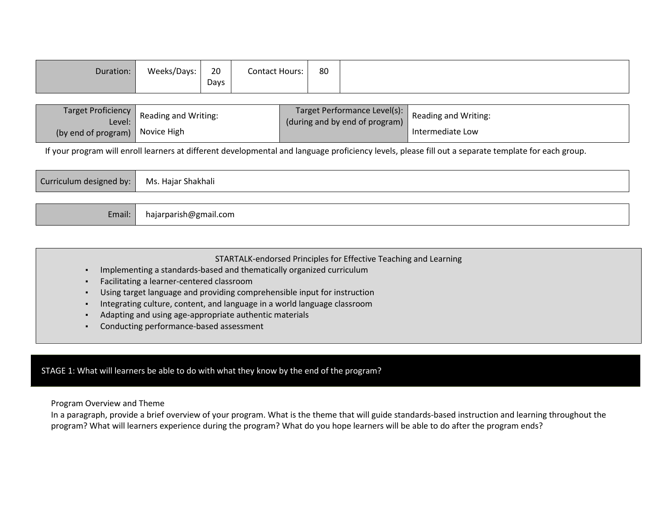| 80<br>20<br><b>Contact Hours:</b><br>Weeks/Days:<br>Days |
|----------------------------------------------------------|
|----------------------------------------------------------|

| Target Proficiency<br>Level: J  | Reading and Writing: | (during and by end of program) | Target Performance Level(s): Reading and Writing: |
|---------------------------------|----------------------|--------------------------------|---------------------------------------------------|
| (by end of program) Novice High |                      |                                | Intermediate Low                                  |

If your program will enroll learners at different developmental and language proficiency levels, please fill out a separate template for each group.

| Curriculum designed by: Ms. Hajar Shakhali |                       |
|--------------------------------------------|-----------------------|
|                                            |                       |
| Email:                                     | hajarparish@gmail.com |

#### STARTALK-endorsed Principles for Effective Teaching and Learning

- ▪Implementing a standards-based and thematically organized curriculum
- ▪Facilitating a learner-centered classroom
- Using target language and providing comprehensible input for instruction
- ▪Integrating culture, content, and language in a world language classroom
- ▪Adapting and using age-appropriate authentic materials
- ▪Conducting performance-based assessment

### STAGE 1: What will learners be able to do with what they know by the end of the program?

Program Overview and Theme

 In a paragraph, provide a brief overview of your program. What is the theme that will guide standards-based instruction and learning throughout the program? What will learners experience during the program? What do you hope learners will be able to do after the program ends?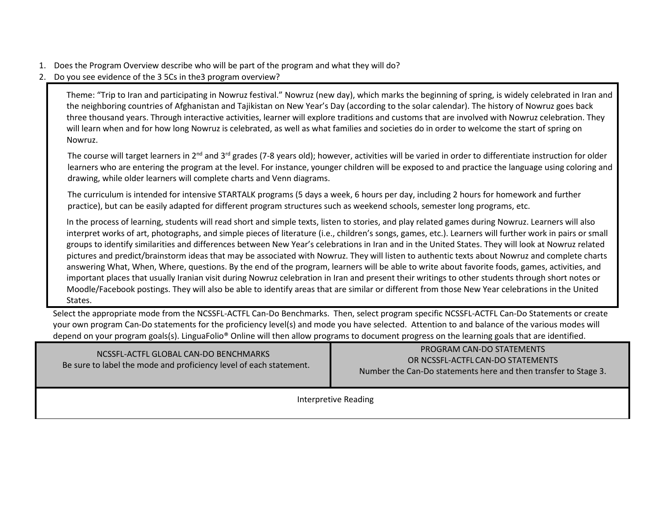- 1. Does the Program Overview describe who will be part of the program and what they will do?
- 2. Do you see evidence of the 3 5Cs in the3 program overview?

Theme: "Trip to Iran and participating in Nowruz festival." Nowruz (new day), which marks the beginning of spring, is widely celebrated in Iran and the neighboring countries of Afghanistan and Tajikistan on New Year's Day (according to the solar calendar). The history of Nowruz goes back three thousand years. Through interactive activities, learner will explore traditions and customs that are involved with Nowruz celebration. They will learn when and for how long Nowruz is celebrated, as well as what families and societies do in order to welcome the start of spring on Nowruz.

The course will target learners in  $2^{nd}$  and  $3^{rd}$  grades (7-8 years old); however, activities will be varied in order to differentiate instruction for older learners who are entering the program at the level. For instance, younger children will be exposed to and practice the language using coloring and drawing, while older learners will complete charts and Venn diagrams.

The curriculum is intended for intensive STARTALK programs (5 days a week, 6 hours per day, including 2 hours for homework and further practice), but can be easily adapted for different program structures such as weekend schools, semester long programs, etc.

In the process of learning, students will read short and simple texts, listen to stories, and play related games during Nowruz. Learners will also interpret works of art, photographs, and simple pieces of literature (i.e., children's songs, games, etc.). Learners will further work in pairs or small groups to identify similarities and differences between New Year's celebrations in Iran and in the United States. They will look at Nowruz related pictures and predict/brainstorm ideas that may be associated with Nowruz. They will listen to authentic texts about Nowruz and complete charts answering What, When, Where, questions. By the end of the program, learners will be able to write about favorite foods, games, activities, and important places that usually Iranian visit during Nowruz celebration in Iran and present their writings to other students through short notes or Moodle/Facebook postings. They will also be able to identify areas that are similar or different from those New Year celebrations in the United States.

Select the appropriate mode from the NCSSFL-ACTFL Can-Do Benchmarks. Then, select program specific NCSSFL-ACTFL Can-Do Statements or create your own program Can-Do statements for the proficiency level(s) and mode you have selected. Attention to and balance of the various modes will depend on your program goals(s). LinguaFolio® Online will then allow programs to document progress on the learning goals that are identified.

| NCSSFL-ACTFL GLOBAL CAN-DO BENCHMARKS<br>Be sure to label the mode and proficiency level of each statement. | PROGRAM CAN-DO STATEMENTS<br>OR NCSSFL-ACTFL CAN-DO STATEMENTS<br>Number the Can-Do statements here and then transfer to Stage 3. |  |
|-------------------------------------------------------------------------------------------------------------|-----------------------------------------------------------------------------------------------------------------------------------|--|
| Interpretive Reading                                                                                        |                                                                                                                                   |  |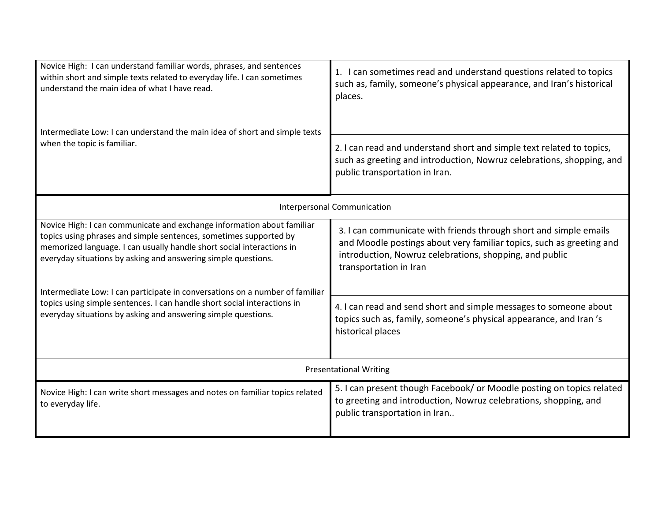| Novice High: I can understand familiar words, phrases, and sentences<br>within short and simple texts related to everyday life. I can sometimes<br>understand the main idea of what I have read.<br>Intermediate Low: I can understand the main idea of short and simple texts<br>when the topic is familiar. | 1. I can sometimes read and understand questions related to topics<br>such as, family, someone's physical appearance, and Iran's historical<br>places.<br>2. I can read and understand short and simple text related to topics,<br>such as greeting and introduction, Nowruz celebrations, shopping, and<br>public transportation in Iran. |  |
|---------------------------------------------------------------------------------------------------------------------------------------------------------------------------------------------------------------------------------------------------------------------------------------------------------------|--------------------------------------------------------------------------------------------------------------------------------------------------------------------------------------------------------------------------------------------------------------------------------------------------------------------------------------------|--|
|                                                                                                                                                                                                                                                                                                               | Interpersonal Communication                                                                                                                                                                                                                                                                                                                |  |
| Novice High: I can communicate and exchange information about familiar<br>topics using phrases and simple sentences, sometimes supported by<br>memorized language. I can usually handle short social interactions in<br>everyday situations by asking and answering simple questions.                         | 3. I can communicate with friends through short and simple emails<br>and Moodle postings about very familiar topics, such as greeting and<br>introduction, Nowruz celebrations, shopping, and public<br>transportation in Iran                                                                                                             |  |
| Intermediate Low: I can participate in conversations on a number of familiar<br>topics using simple sentences. I can handle short social interactions in<br>everyday situations by asking and answering simple questions.                                                                                     | 4. I can read and send short and simple messages to someone about<br>topics such as, family, someone's physical appearance, and Iran's<br>historical places                                                                                                                                                                                |  |
| <b>Presentational Writing</b>                                                                                                                                                                                                                                                                                 |                                                                                                                                                                                                                                                                                                                                            |  |
| Novice High: I can write short messages and notes on familiar topics related<br>to everyday life.                                                                                                                                                                                                             | 5. I can present though Facebook/ or Moodle posting on topics related<br>to greeting and introduction, Nowruz celebrations, shopping, and<br>public transportation in Iran                                                                                                                                                                 |  |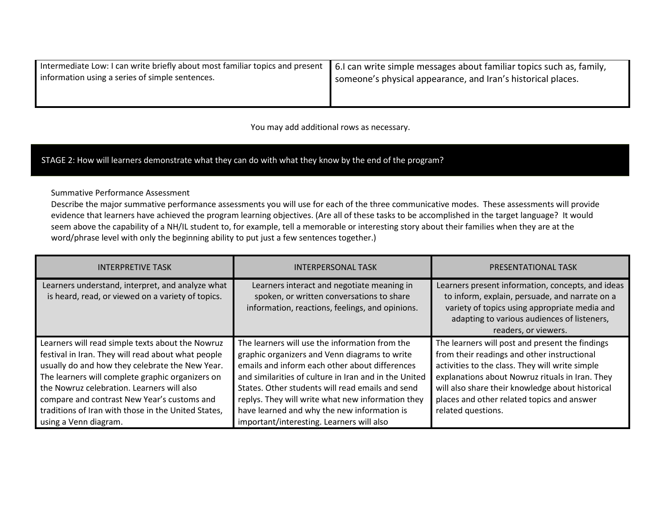| Intermediate Low: I can write briefly about most familiar topics and present | 6. Can write simple messages about familiar topics such as, family, |  |
|------------------------------------------------------------------------------|---------------------------------------------------------------------|--|
| information using a series of simple sentences.                              | someone's physical appearance, and Iran's historical places.        |  |
|                                                                              |                                                                     |  |

You may add additional rows as necessary.

## STAGE 2: How will learners demonstrate what they can do with what they know by the end of the program?

Summative Performance Assessment

 Describe the major summative performance assessments you will use for each of the three communicative modes. These assessments will provide evidence that learners have achieved the program learning objectives. (Are all of these tasks to be accomplished in the target language? It would seem above the capability of a NH/IL student to, for example, tell a memorable or interesting story about their families when they are at the word/phrase level with only the beginning ability to put just a few sentences together.)

| <b>INTERPRETIVE TASK</b>                                                                                                                                                                                                                                                                                                                                          | <b>INTERPERSONAL TASK</b>                                                                                                                                                                                                                                                                                                                                          | PRESENTATIONAL TASK                                                                                                                                                                                                                                                                                                          |
|-------------------------------------------------------------------------------------------------------------------------------------------------------------------------------------------------------------------------------------------------------------------------------------------------------------------------------------------------------------------|--------------------------------------------------------------------------------------------------------------------------------------------------------------------------------------------------------------------------------------------------------------------------------------------------------------------------------------------------------------------|------------------------------------------------------------------------------------------------------------------------------------------------------------------------------------------------------------------------------------------------------------------------------------------------------------------------------|
| Learners understand, interpret, and analyze what<br>is heard, read, or viewed on a variety of topics.                                                                                                                                                                                                                                                             | Learners interact and negotiate meaning in<br>spoken, or written conversations to share<br>information, reactions, feelings, and opinions.                                                                                                                                                                                                                         | Learners present information, concepts, and ideas<br>to inform, explain, persuade, and narrate on a<br>variety of topics using appropriate media and<br>adapting to various audiences of listeners,<br>readers, or viewers.                                                                                                  |
| Learners will read simple texts about the Nowruz<br>festival in Iran. They will read about what people<br>usually do and how they celebrate the New Year.<br>The learners will complete graphic organizers on<br>the Nowruz celebration. Learners will also<br>compare and contrast New Year's customs and<br>traditions of Iran with those in the United States, | The learners will use the information from the<br>graphic organizers and Venn diagrams to write<br>emails and inform each other about differences<br>and similarities of culture in Iran and in the United<br>States. Other students will read emails and send<br>replys. They will write what new information they<br>have learned and why the new information is | The learners will post and present the findings<br>from their readings and other instructional<br>activities to the class. They will write simple<br>explanations about Nowruz rituals in Iran. They<br>will also share their knowledge about historical<br>places and other related topics and answer<br>related questions. |
| using a Venn diagram.                                                                                                                                                                                                                                                                                                                                             | important/interesting. Learners will also                                                                                                                                                                                                                                                                                                                          |                                                                                                                                                                                                                                                                                                                              |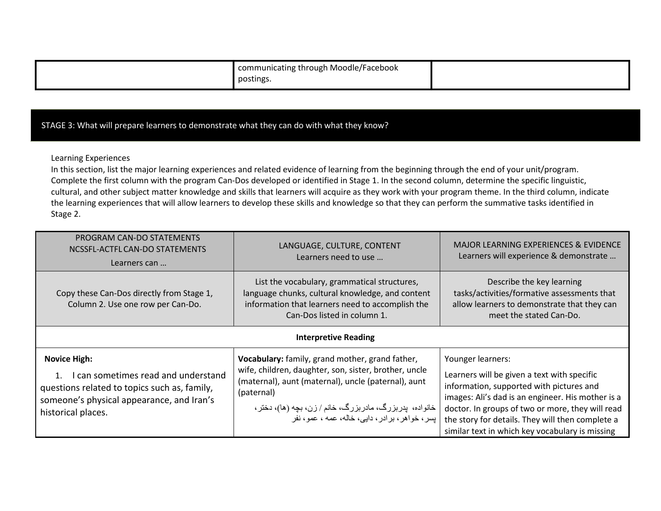| communicating through Moodle/Facebook |  |
|---------------------------------------|--|
| . .<br>postings.                      |  |

### STAGE 3: What will prepare learners to demonstrate what they can do with what they know?

Learning Experiences

In this section, list the major learning experiences and related evidence of learning from the beginning through the end of your unit/program. Complete the first column with the program Can-Dos developed or identified in Stage 1. In the second column, determine the specific linguistic, cultural, and other subject matter knowledge and skills that learners will acquire as they work with your program theme. In the third column, indicate the learning experiences that will allow learners to develop these skills and knowledge so that they can perform the summative tasks identified in Stage 2.

| PROGRAM CAN-DO STATEMENTS<br>NCSSFL-ACTFL CAN-DO STATEMENTS<br>Learners can                                                                                                   | LANGUAGE, CULTURE, CONTENT<br>Learners need to use                                                                                                                                                                                                                                        | MAJOR LEARNING EXPERIENCES & EVIDENCE<br>Learners will experience & demonstrate                                                                                                                                                                                                                                              |  |
|-------------------------------------------------------------------------------------------------------------------------------------------------------------------------------|-------------------------------------------------------------------------------------------------------------------------------------------------------------------------------------------------------------------------------------------------------------------------------------------|------------------------------------------------------------------------------------------------------------------------------------------------------------------------------------------------------------------------------------------------------------------------------------------------------------------------------|--|
| Copy these Can-Dos directly from Stage 1,<br>Column 2. Use one row per Can-Do.                                                                                                | List the vocabulary, grammatical structures,<br>language chunks, cultural knowledge, and content<br>information that learners need to accomplish the<br>Can-Dos listed in column 1.                                                                                                       | Describe the key learning<br>tasks/activities/formative assessments that<br>allow learners to demonstrate that they can<br>meet the stated Can-Do.                                                                                                                                                                           |  |
| <b>Interpretive Reading</b>                                                                                                                                                   |                                                                                                                                                                                                                                                                                           |                                                                                                                                                                                                                                                                                                                              |  |
| <b>Novice High:</b><br>I can sometimes read and understand<br>questions related to topics such as, family,<br>someone's physical appearance, and Iran's<br>historical places. | Vocabulary: family, grand mother, grand father,<br>wife, children, daughter, son, sister, brother, uncle<br>(maternal), aunt (maternal), uncle (paternal), aunt<br>(paternal)<br>خانواده، پدربزرگ، مادربزرگ، خانم / زن، بچه (ها)، دختر،<br>پسر، خواهر، برادر، دایی، خاله، عمه ، عمو ، نفر | Younger learners:<br>Learners will be given a text with specific<br>information, supported with pictures and<br>images: Ali's dad is an engineer. His mother is a<br>doctor. In groups of two or more, they will read<br>the story for details. They will then complete a<br>similar text in which key vocabulary is missing |  |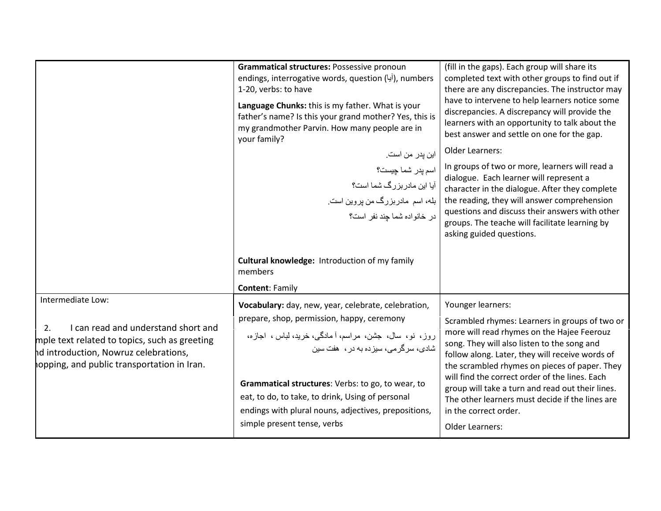| Grammatical structures: Possessive pronoun<br>endings, interrogative words, question (آيا), numbers<br>1-20, verbs: to have<br>Language Chunks: this is my father. What is your<br>father's name? Is this your grand mother? Yes, this is<br>my grandmother Parvin. How many people are in<br>your family?                                                                                              | (fill in the gaps). Each group will share its<br>completed text with other groups to find out if<br>there are any discrepancies. The instructor may<br>have to intervene to help learners notice some<br>discrepancies. A discrepancy will provide the<br>learners with an opportunity to talk about the<br>best answer and settle on one for the gap.                                                                                                                    |
|---------------------------------------------------------------------------------------------------------------------------------------------------------------------------------------------------------------------------------------------------------------------------------------------------------------------------------------------------------------------------------------------------------|---------------------------------------------------------------------------------------------------------------------------------------------------------------------------------------------------------------------------------------------------------------------------------------------------------------------------------------------------------------------------------------------------------------------------------------------------------------------------|
| این پدر من است.<br>اسم پدر شما چیست؟<br>آیا این مادر بزرگ شما است؟<br>بله، اسم مادربزرگ من پروین است <sub>.</sub><br>در خانواده شما چند نفر است؟                                                                                                                                                                                                                                                        | <b>Older Learners:</b><br>In groups of two or more, learners will read a<br>dialogue. Each learner will represent a<br>character in the dialogue. After they complete<br>the reading, they will answer comprehension<br>questions and discuss their answers with other<br>groups. The teache will facilitate learning by<br>asking guided questions.                                                                                                                      |
| Cultural knowledge: Introduction of my family<br>members<br><b>Content: Family</b>                                                                                                                                                                                                                                                                                                                      |                                                                                                                                                                                                                                                                                                                                                                                                                                                                           |
| Vocabulary: day, new, year, celebrate, celebration,<br>prepare, shop, permission, happy, ceremony<br>روز، نو، سال، جشن، مراسم، أ مادگی، خرید، لباس ، اجازه،<br>شادی، سر گر مے، سیز دہ به در ،   هفت سین<br>Grammatical structures: Verbs: to go, to wear, to<br>eat, to do, to take, to drink, Using of personal<br>endings with plural nouns, adjectives, prepositions,<br>simple present tense, verbs | Younger learners:<br>Scrambled rhymes: Learners in groups of two or<br>more will read rhymes on the Hajee Feerouz<br>song. They will also listen to the song and<br>follow along. Later, they will receive words of<br>the scrambled rhymes on pieces of paper. They<br>will find the correct order of the lines. Each<br>group will take a turn and read out their lines.<br>The other learners must decide if the lines are<br>in the correct order.<br>Older Learners: |
|                                                                                                                                                                                                                                                                                                                                                                                                         |                                                                                                                                                                                                                                                                                                                                                                                                                                                                           |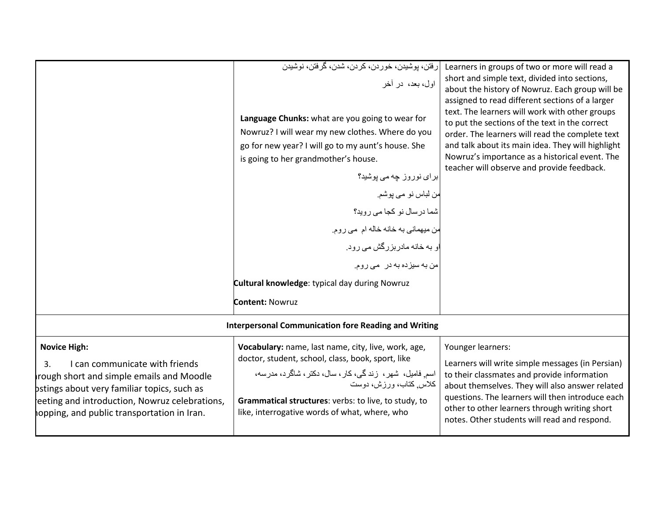|                                                                                                                                                                                                                                                       | رفتن، پوشيدن، خوردن، كردن، شدن، گرفتن، نوشيدن<br>اول، بعد، در أخر<br>Language Chunks: what are you going to wear for<br>Nowruz? I will wear my new clothes. Where do you<br>go for new year? I will go to my aunt's house. She<br>is going to her grandmother's house.<br>برای نوروز چه می پوشید؟<br>من لباس نو مي پوشم.<br>شما درسال نو كجا مي رويد؟<br>من میهمانی به خانه خاله ام می روم.<br>او به خانه مادربزرگش می رود.<br>من به سیزده به در می روم.<br>Cultural knowledge: typical day during Nowruz | Learners in groups of two or more will read a<br>short and simple text, divided into sections,<br>about the history of Nowruz. Each group will be<br>assigned to read different sections of a larger<br>text. The learners will work with other groups<br>to put the sections of the text in the correct<br>order. The learners will read the complete text<br>and talk about its main idea. They will highlight<br>Nowruz's importance as a historical event. The<br>teacher will observe and provide feedback. |
|-------------------------------------------------------------------------------------------------------------------------------------------------------------------------------------------------------------------------------------------------------|-----------------------------------------------------------------------------------------------------------------------------------------------------------------------------------------------------------------------------------------------------------------------------------------------------------------------------------------------------------------------------------------------------------------------------------------------------------------------------------------------------------|------------------------------------------------------------------------------------------------------------------------------------------------------------------------------------------------------------------------------------------------------------------------------------------------------------------------------------------------------------------------------------------------------------------------------------------------------------------------------------------------------------------|
|                                                                                                                                                                                                                                                       | <b>Content: Nowruz</b>                                                                                                                                                                                                                                                                                                                                                                                                                                                                                    |                                                                                                                                                                                                                                                                                                                                                                                                                                                                                                                  |
| <b>Interpersonal Communication fore Reading and Writing</b>                                                                                                                                                                                           |                                                                                                                                                                                                                                                                                                                                                                                                                                                                                                           |                                                                                                                                                                                                                                                                                                                                                                                                                                                                                                                  |
| <b>Novice High:</b><br>I can communicate with friends<br>3.<br>rough short and simple emails and Moodle<br>bstings about very familiar topics, such as<br>eeting and introduction, Nowruz celebrations,<br>opping, and public transportation in Iran. | Vocabulary: name, last name, city, live, work, age,<br>doctor, student, school, class, book, sport, like<br>اسم فامیل، شهر، زندگی، کار، سال، دکتر، شاگرد، مدرسه،<br>كلاس كتاب، ورزش، دوست<br>Grammatical structures: verbs: to live, to study, to<br>like, interrogative words of what, where, who                                                                                                                                                                                                        | Younger learners:<br>Learners will write simple messages (in Persian)<br>to their classmates and provide information<br>about themselves. They will also answer related<br>questions. The learners will then introduce each<br>other to other learners through writing short<br>notes. Other students will read and respond.                                                                                                                                                                                     |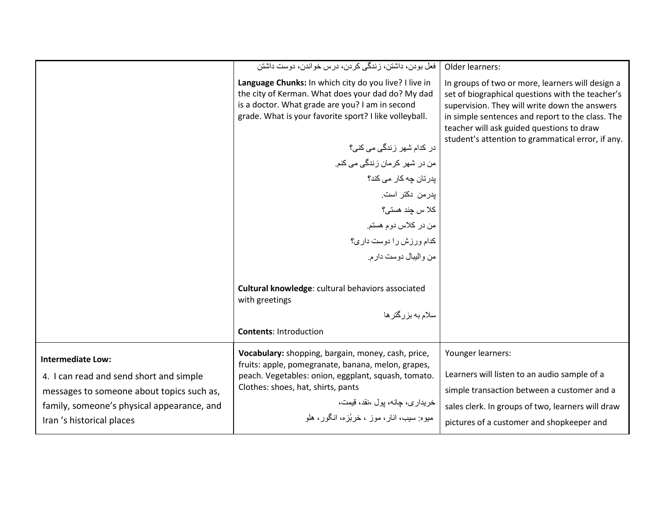|                                            | فعل بودن، داشتن، زندگی کردن، درس خواندن، دوست داشتن                                                        | Older learners:                                                                                                                                |
|--------------------------------------------|------------------------------------------------------------------------------------------------------------|------------------------------------------------------------------------------------------------------------------------------------------------|
|                                            | Language Chunks: In which city do you live? I live in<br>the city of Kerman. What does your dad do? My dad | In groups of two or more, learners will design a<br>set of biographical questions with the teacher's                                           |
|                                            | is a doctor. What grade are you? I am in second<br>grade. What is your favorite sport? I like volleyball.  | supervision. They will write down the answers<br>in simple sentences and report to the class. The<br>teacher will ask guided questions to draw |
|                                            | در کدام شهر زندگی می کنی؟                                                                                  | student's attention to grammatical error, if any.                                                                                              |
|                                            | من در شهر كرمان زندگى مى كنم.                                                                              |                                                                                                                                                |
|                                            | یدر تان چه کار می کند؟                                                                                     |                                                                                                                                                |
|                                            | بدر من دكتر است.                                                                                           |                                                                                                                                                |
|                                            | كلا س چند هستى؟                                                                                            |                                                                                                                                                |
|                                            | من در كلاس دوم هستم.                                                                                       |                                                                                                                                                |
|                                            | كدام ورزش را دوست دارى؟                                                                                    |                                                                                                                                                |
|                                            | من واليبال دوست دارم.                                                                                      |                                                                                                                                                |
|                                            | Cultural knowledge: cultural behaviors associated<br>with greetings                                        |                                                                                                                                                |
|                                            | سلام به بزرگتر ها                                                                                          |                                                                                                                                                |
|                                            | <b>Contents: Introduction</b>                                                                              |                                                                                                                                                |
| <b>Intermediate Low:</b>                   | Vocabulary: shopping, bargain, money, cash, price,<br>fruits: apple, pomegranate, banana, melon, grapes,   | Younger learners:                                                                                                                              |
| 4. I can read and send short and simple    | peach. Vegetables: onion, eggplant, squash, tomato.                                                        | Learners will listen to an audio sample of a                                                                                                   |
| messages to someone about topics such as,  | Clothes: shoes, hat, shirts, pants                                                                         | simple transaction between a customer and a                                                                                                    |
| family, someone's physical appearance, and | خریداری، چانه، پول ،نقد، قیمت،                                                                             | sales clerk. In groups of two, learners will draw                                                                                              |
| Iran 's historical places                  | ميو ه: سيب، انار ، مو ز  ، خر بُز ه، انگو ر ، هلو                                                          | pictures of a customer and shopkeeper and                                                                                                      |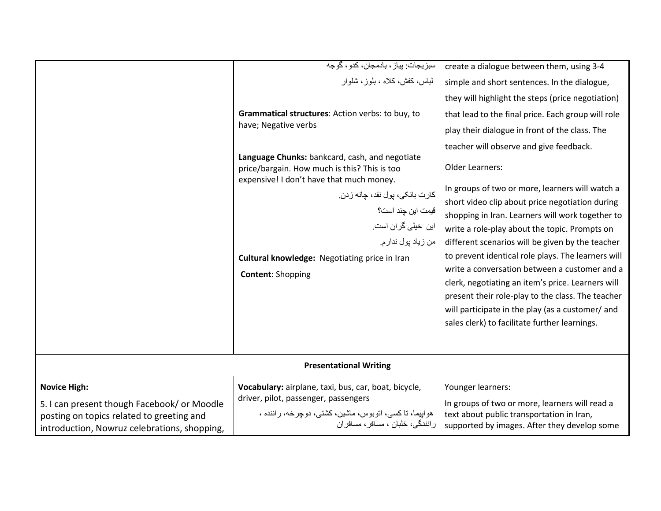|                                                                                           | سبزيجات: پياز ، بادمجان، كدو ، گوجه                                                                                                        | create a dialogue between them, using 3-4                                                         |
|-------------------------------------------------------------------------------------------|--------------------------------------------------------------------------------------------------------------------------------------------|---------------------------------------------------------------------------------------------------|
|                                                                                           | لباس، كفش، كلاه ، بلوز ، شلوار                                                                                                             | simple and short sentences. In the dialogue,                                                      |
|                                                                                           |                                                                                                                                            | they will highlight the steps (price negotiation)                                                 |
|                                                                                           | Grammatical structures: Action verbs: to buy, to                                                                                           | that lead to the final price. Each group will role                                                |
|                                                                                           | have; Negative verbs                                                                                                                       | play their dialogue in front of the class. The                                                    |
|                                                                                           |                                                                                                                                            | teacher will observe and give feedback.                                                           |
|                                                                                           | Language Chunks: bankcard, cash, and negotiate<br>price/bargain. How much is this? This is too<br>expensive! I don't have that much money. | <b>Older Learners:</b>                                                                            |
|                                                                                           | كارت بانكي، پول نقد، چانه زدن                                                                                                              | In groups of two or more, learners will watch a                                                   |
|                                                                                           | قیمت این چند است؟                                                                                                                          | short video clip about price negotiation during                                                   |
|                                                                                           | این خیلی گران است.                                                                                                                         | shopping in Iran. Learners will work together to                                                  |
|                                                                                           | من زياد پول ندار م.                                                                                                                        | write a role-play about the topic. Prompts on<br>different scenarios will be given by the teacher |
|                                                                                           | Cultural knowledge: Negotiating price in Iran                                                                                              | to prevent identical role plays. The learners will                                                |
|                                                                                           | <b>Content: Shopping</b>                                                                                                                   | write a conversation between a customer and a                                                     |
|                                                                                           |                                                                                                                                            | clerk, negotiating an item's price. Learners will                                                 |
|                                                                                           |                                                                                                                                            | present their role-play to the class. The teacher                                                 |
|                                                                                           |                                                                                                                                            | will participate in the play (as a customer/ and                                                  |
|                                                                                           |                                                                                                                                            | sales clerk) to facilitate further learnings.                                                     |
|                                                                                           |                                                                                                                                            |                                                                                                   |
| <b>Presentational Writing</b>                                                             |                                                                                                                                            |                                                                                                   |
| <b>Novice High:</b>                                                                       | Vocabulary: airplane, taxi, bus, car, boat, bicycle,                                                                                       | Younger learners:                                                                                 |
| 5. I can present though Facebook/ or Moodle                                               | driver, pilot, passenger, passengers                                                                                                       | In groups of two or more, learners will read a                                                    |
| posting on topics related to greeting and<br>introduction, Nowruz celebrations, shopping, | هواپیما، تاکسی، اتوبوس، ماشین، کشتی، دوچرخه، راننده ،<br>رانندگی، خلبان ، مسافر ، مسافر ان                                                 | text about public transportation in Iran,<br>supported by images. After they develop some         |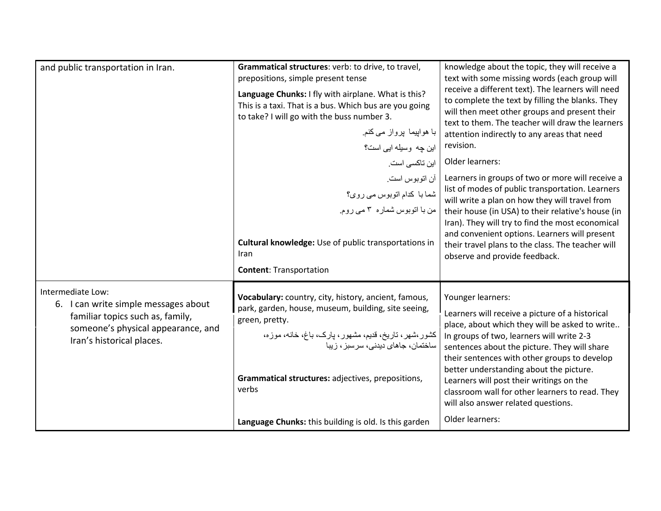| and public transportation in Iran.                                                                                                                               | Grammatical structures: verb: to drive, to travel,<br>prepositions, simple present tense<br>Language Chunks: I fly with airplane. What is this?<br>This is a taxi. That is a bus. Which bus are you going<br>to take? I will go with the buss number 3.<br>با ہواپیما پرواز می کنم<br>این چه وسیله ایی است؟ | knowledge about the topic, they will receive a<br>text with some missing words (each group will<br>receive a different text). The learners will need<br>to complete the text by filling the blanks. They<br>will then meet other groups and present their<br>text to them. The teacher will draw the learners<br>attention indirectly to any areas that need<br>revision.                                                                                               |
|------------------------------------------------------------------------------------------------------------------------------------------------------------------|-------------------------------------------------------------------------------------------------------------------------------------------------------------------------------------------------------------------------------------------------------------------------------------------------------------|-------------------------------------------------------------------------------------------------------------------------------------------------------------------------------------------------------------------------------------------------------------------------------------------------------------------------------------------------------------------------------------------------------------------------------------------------------------------------|
|                                                                                                                                                                  | این تاکسی است.<br>أن اتوبوس است.<br>شما با كدام اتوبوس مى روى؟<br>من با اتوبوس شماره ۳ می روم.<br>Cultural knowledge: Use of public transportations in<br>Iran<br><b>Content: Transportation</b>                                                                                                            | Older learners:<br>Learners in groups of two or more will receive a<br>list of modes of public transportation. Learners<br>will write a plan on how they will travel from<br>their house (in USA) to their relative's house (in<br>Iran). They will try to find the most economical<br>and convenient options. Learners will present<br>their travel plans to the class. The teacher will<br>observe and provide feedback.                                              |
| Intermediate Low:<br>6. I can write simple messages about<br>familiar topics such as, family,<br>someone's physical appearance, and<br>Iran's historical places. | Vocabulary: country, city, history, ancient, famous,<br>park, garden, house, museum, building, site seeing,<br>green, pretty.<br>کشور،شهر، تاریخ، قدیم، مشهور، بارک، باغ، خانه، موزه،<br>ساختمان، جاهای دیدنی، سر سبز ، ز بیا<br>Grammatical structures: adjectives, prepositions,<br>verbs                 | Younger learners:<br>Learners will receive a picture of a historical<br>place, about which they will be asked to write<br>In groups of two, learners will write 2-3<br>sentences about the picture. They will share<br>their sentences with other groups to develop<br>better understanding about the picture.<br>Learners will post their writings on the<br>classroom wall for other learners to read. They<br>will also answer related questions.<br>Older learners: |
|                                                                                                                                                                  | Language Chunks: this building is old. Is this garden                                                                                                                                                                                                                                                       |                                                                                                                                                                                                                                                                                                                                                                                                                                                                         |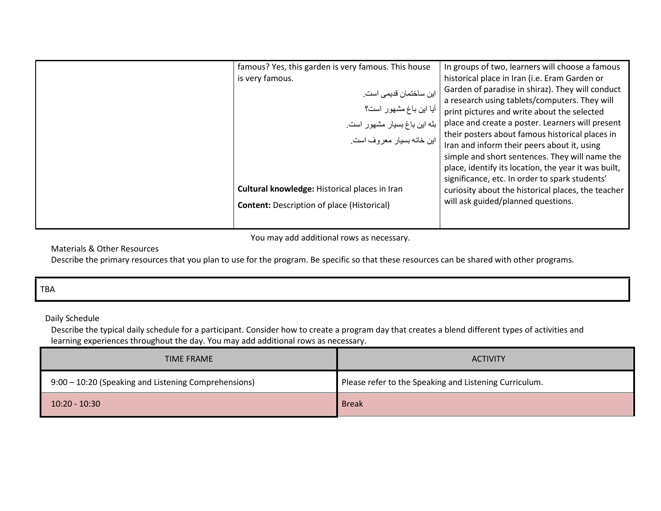| famous? Yes, this garden is very famous. This house                                 | In groups of two, learners will choose a famous      |
|-------------------------------------------------------------------------------------|------------------------------------------------------|
| is very famous.                                                                     | historical place in Iran (i.e. Eram Garden or        |
|                                                                                     | Garden of paradise in shiraz). They will conduct     |
| این ساختمان قدیمی است <sub>.</sub><br>آیا این باغ مشهور است؟                        | a research using tablets/computers. They will        |
|                                                                                     | print pictures and write about the selected          |
| بله این باغ بسیار مشهور است <sub>.</sub><br>  این خانه بسیار معروف است <sub>.</sub> | place and create a poster. Learners will present     |
|                                                                                     | their posters about famous historical places in      |
|                                                                                     | Iran and inform their peers about it, using          |
|                                                                                     | simple and short sentences. They will name the       |
|                                                                                     | place, identify its location, the year it was built, |
|                                                                                     | significance, etc. In order to spark students'       |
| Cultural knowledge: Historical places in Iran                                       | curiosity about the historical places, the teacher   |
| <b>Content: Description of place (Historical)</b>                                   | will ask guided/planned questions.                   |
|                                                                                     |                                                      |
|                                                                                     |                                                      |

You may add additional rows as necessary.

Materials & Other Resources

Describe the primary resources that you plan to use for the program. Be specific so that these resources can be shared with other programs.

|--|

Daily Schedule

 Describe the typical daily schedule for a participant. Consider how to create a program day that creates a blend different types of activities and learning experiences throughout the day. You may add additional rows as necessary.

| TIME FRAME                                           | <b>ACTIVITY</b>                                        |
|------------------------------------------------------|--------------------------------------------------------|
| 9:00 - 10:20 (Speaking and Listening Comprehensions) | Please refer to the Speaking and Listening Curriculum. |
| $10:20 - 10:30$                                      | <b>Break</b>                                           |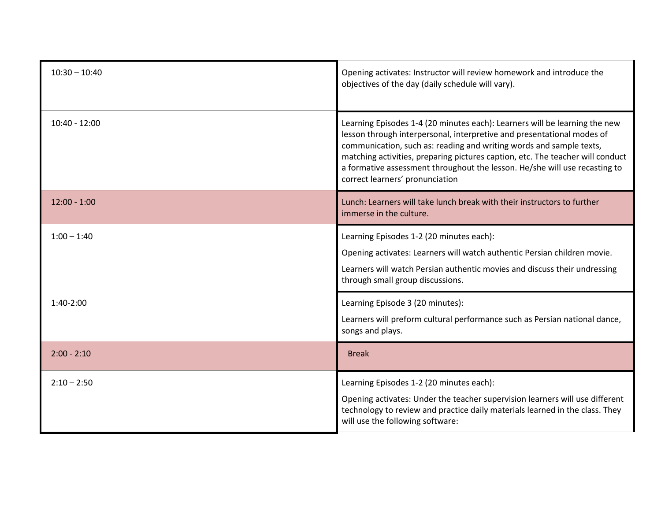| $10:30 - 10:40$ | Opening activates: Instructor will review homework and introduce the<br>objectives of the day (daily schedule will vary).                                                                                                                                                                                                                                                                                                      |
|-----------------|--------------------------------------------------------------------------------------------------------------------------------------------------------------------------------------------------------------------------------------------------------------------------------------------------------------------------------------------------------------------------------------------------------------------------------|
| $10:40 - 12:00$ | Learning Episodes 1-4 (20 minutes each): Learners will be learning the new<br>lesson through interpersonal, interpretive and presentational modes of<br>communication, such as: reading and writing words and sample texts,<br>matching activities, preparing pictures caption, etc. The teacher will conduct<br>a formative assessment throughout the lesson. He/she will use recasting to<br>correct learners' pronunciation |
| $12:00 - 1:00$  | Lunch: Learners will take lunch break with their instructors to further<br>immerse in the culture.                                                                                                                                                                                                                                                                                                                             |
| $1:00 - 1:40$   | Learning Episodes 1-2 (20 minutes each):<br>Opening activates: Learners will watch authentic Persian children movie.<br>Learners will watch Persian authentic movies and discuss their undressing<br>through small group discussions.                                                                                                                                                                                          |
| $1:40-2:00$     | Learning Episode 3 (20 minutes):<br>Learners will preform cultural performance such as Persian national dance,<br>songs and plays.                                                                                                                                                                                                                                                                                             |
| $2:00 - 2:10$   | <b>Break</b>                                                                                                                                                                                                                                                                                                                                                                                                                   |
| $2:10 - 2:50$   | Learning Episodes 1-2 (20 minutes each):<br>Opening activates: Under the teacher supervision learners will use different<br>technology to review and practice daily materials learned in the class. They<br>will use the following software:                                                                                                                                                                                   |